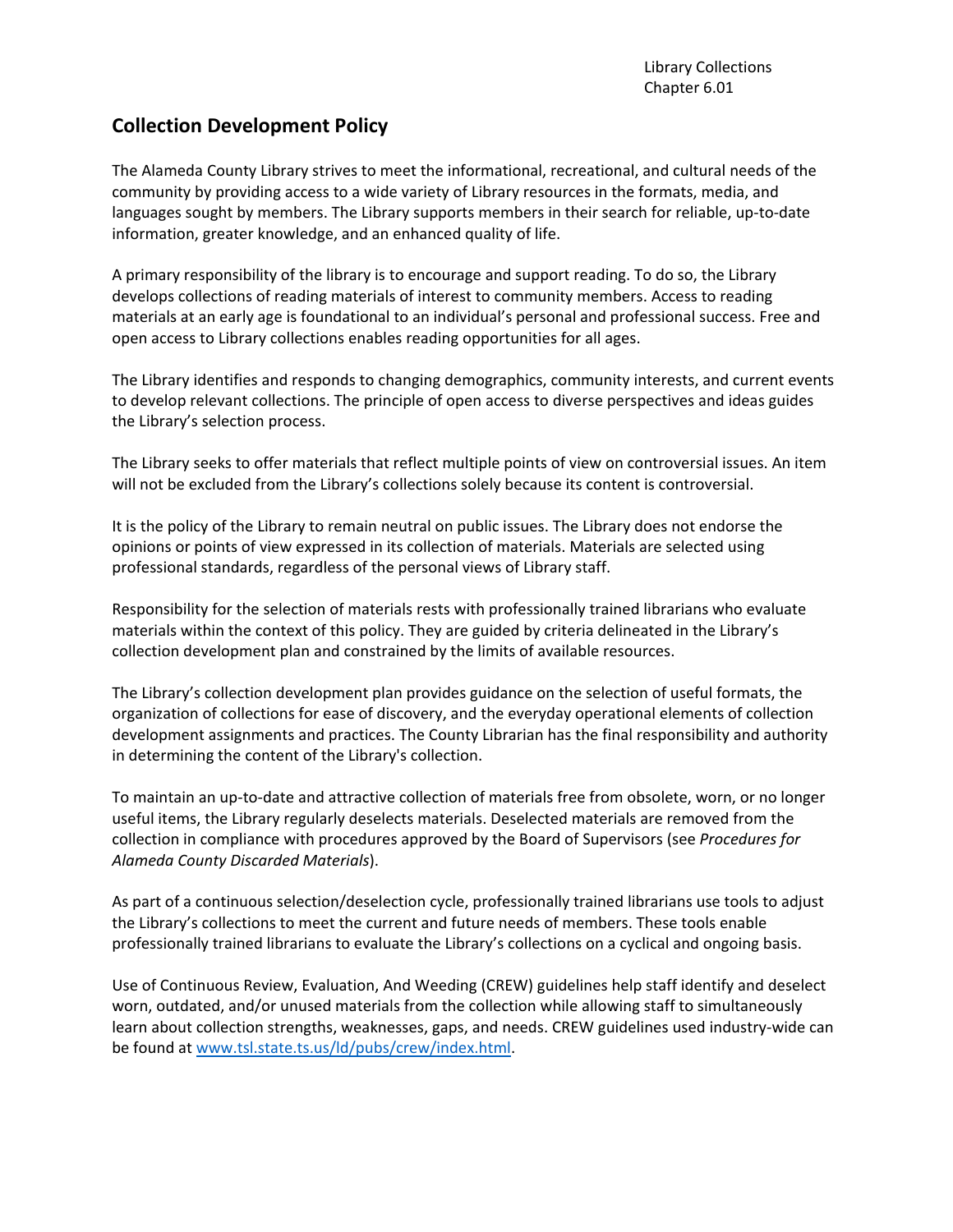## **Collection Development Policy**

The Alameda County Library strives to meet the informational, recreational, and cultural needs of the community by providing access to a wide variety of Library resources in the formats, media, and languages sought by members. The Library supports members in their search for reliable, up-to-date information, greater knowledge, and an enhanced quality of life.

A primary responsibility of the library is to encourage and support reading. To do so, the Library develops collections of reading materials of interest to community members. Access to reading materials at an early age is foundational to an individual's personal and professional success. Free and open access to Library collections enables reading opportunities for all ages.

The Library identifies and responds to changing demographics, community interests, and current events to develop relevant collections. The principle of open access to diverse perspectives and ideas guides the Library's selection process.

The Library seeks to offer materials that reflect multiple points of view on controversial issues. An item will not be excluded from the Library's collections solely because its content is controversial.

It is the policy of the Library to remain neutral on public issues. The Library does not endorse the opinions or points of view expressed in its collection of materials. Materials are selected using professional standards, regardless of the personal views of Library staff.

Responsibility for the selection of materials rests with professionally trained librarians who evaluate materials within the context of this policy. They are guided by criteria delineated in the Library's collection development plan and constrained by the limits of available resources.

The Library's collection development plan provides guidance on the selection of useful formats, the organization of collections for ease of discovery, and the everyday operational elements of collection development assignments and practices. The County Librarian has the final responsibility and authority in determining the content of the Library's collection.

To maintain an up-to-date and attractive collection of materials free from obsolete, worn, or no longer useful items, the Library regularly deselects materials. Deselected materials are removed from the collection in compliance with procedures approved by the Board of Supervisors (see *Procedures for Alameda County Discarded Materials*).

As part of a continuous selection/deselection cycle, professionally trained librarians use tools to adjust the Library's collections to meet the current and future needs of members. These tools enable professionally trained librarians to evaluate the Library's collections on a cyclical and ongoing basis.

Use of Continuous Review, Evaluation, And Weeding (CREW) guidelines help staff identify and deselect worn, outdated, and/or unused materials from the collection while allowing staff to simultaneously learn about collection strengths, weaknesses, gaps, and needs. CREW guidelines used industry-wide can be found at [www.tsl.state.ts.us/ld/pubs/crew/index.html.](http://www.tsl.state.ts.us/ld/pubs/crew/index.html)